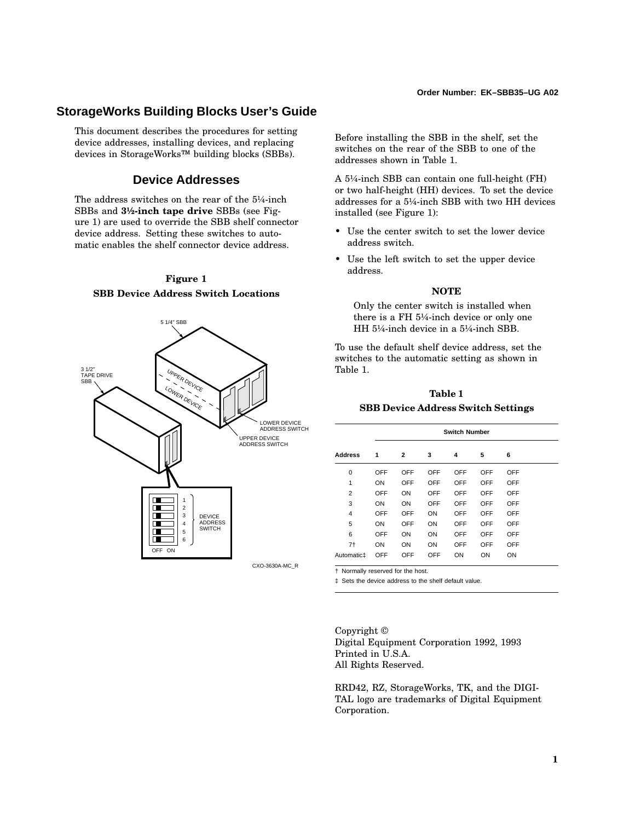#### **Order Number: EK–SBB35–UG A02**

# **StorageWorks Building Blocks User's Guide**

This document describes the procedures for setting device addresses, installing devices, and replacing devices in StorageWorks™ building blocks (SBBs).

# **Device Addresses**

The address switches on the rear of the 5¼-inch SBBs and **3½-inch tape drive** SBBs (see Figure 1) are used to override the SBB shelf connector device address. Setting these switches to automatic enables the shelf connector device address.

### **Figure 1 SBB Device Address Switch Locations**



Before installing the SBB in the shelf, set the switches on the rear of the SBB to one of the addresses shown in Table 1.

A 5¼-inch SBB can contain one full-height (FH) or two half-height (HH) devices. To set the device addresses for a 5¼-inch SBB with two HH devices installed (see Figure 1):

- Use the center switch to set the lower device address switch.
- Use the left switch to set the upper device address.

#### **NOTE**

Only the center switch is installed when there is a FH 5¼-inch device or only one HH 5¼-inch device in a 5¼-inch SBB.

To use the default shelf device address, set the switches to the automatic setting as shown in Table 1.

### **Table 1 SBB Device Address Switch Settings**

|                        | <b>Switch Number</b> |              |     |            |     |     |  |
|------------------------|----------------------|--------------|-----|------------|-----|-----|--|
| <b>Address</b>         | 1                    | $\mathbf{2}$ | 3   | 4          | 5   | 6   |  |
| 0                      | OFF                  | OFF          | OFF | OFF        | OFF | OFF |  |
| 1                      | ON                   | OFF          | OFF | OFF        | OFF | OFF |  |
| $\overline{2}$         | OFF                  | ON           | OFF | OFF        | OFF | OFF |  |
| 3                      | ON                   | ON           | OFF | OFF        | OFF | OFF |  |
| 4                      | OFF                  | OFF          | ON  | OFF        | OFF | OFF |  |
| 5                      | ON                   | OFF          | ON  | OFF        | OFF | OFF |  |
| 6                      | OFF                  | ON           | ON  | <b>OFF</b> | OFF | OFF |  |
| 7 <sup>†</sup>         | ON                   | ON           | ON  | OFF        | OFF | OFF |  |
| Automatic <sub>‡</sub> | OFF                  | OFF          | OFF | ON         | ON  | ON  |  |

† Normally reserved for the host.

‡ Sets the device address to the shelf default value.

Copyright © Digital Equipment Corporation 1992, 1993 Printed in U.S.A. All Rights Reserved.

RRD42, RZ, StorageWorks, TK, and the DIGI-TAL logo are trademarks of Digital Equipment Corporation.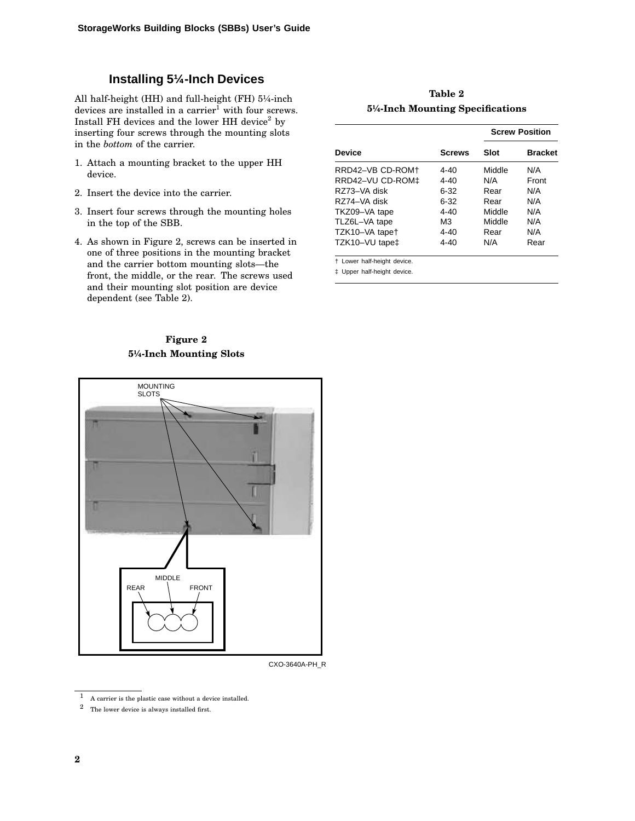# **Installing 5¼-Inch Devices**

All half-height (HH) and full-height (FH) 5¼-inch devices are installed in a carrier<sup>1</sup> with four screws. Install FH devices and the lower HH device<sup>2</sup> by inserting four screws through the mounting slots in the *bottom* of the carrier.

- 1. Attach a mounting bracket to the upper HH device.
- 2. Insert the device into the carrier.
- 3. Insert four screws through the mounting holes in the top of the SBB.
- 4. As shown in Figure 2, screws can be inserted in one of three positions in the mounting bracket and the carrier bottom mounting slots—the front, the middle, or the rear. The screws used and their mounting slot position are device dependent (see Table 2).

# **Figure 2 5¼-Inch Mounting Slots**



#### CXO-3640A-PH\_R

|                  |               | <b>Screw Position</b> |                |  |
|------------------|---------------|-----------------------|----------------|--|
| <b>Device</b>    | <b>Screws</b> | Slot                  | <b>Bracket</b> |  |
| RRD42-VB CD-ROM+ | $4 - 40$      | Middle                | N/A            |  |
| RRD42-VU CD-ROM‡ | $4 - 40$      | N/A                   | Front          |  |
| R773-VA disk     | $6 - 32$      | Rear                  | N/A            |  |
| RZ74-VA disk     | $6 - 32$      | Rear                  | N/A            |  |
| TKZ09-VA tape    | $4 - 40$      | Middle                | N/A            |  |
| TLZ6L-VA tape    | M3            | Middle                | N/A            |  |
| TZK10-VA tapet   | $4 - 40$      | Rear                  | N/A            |  |
| TZK10-VU tape‡   | 4-40          | N/A                   | Rear           |  |

**Table 2 5¼-Inch Mounting Specifications**

† Lower half-height device.

‡ Upper half-height device.

 $\,$  1  $\,$  A carrier is the plastic case without a device installed.

<sup>2</sup> The lower device is always installed first.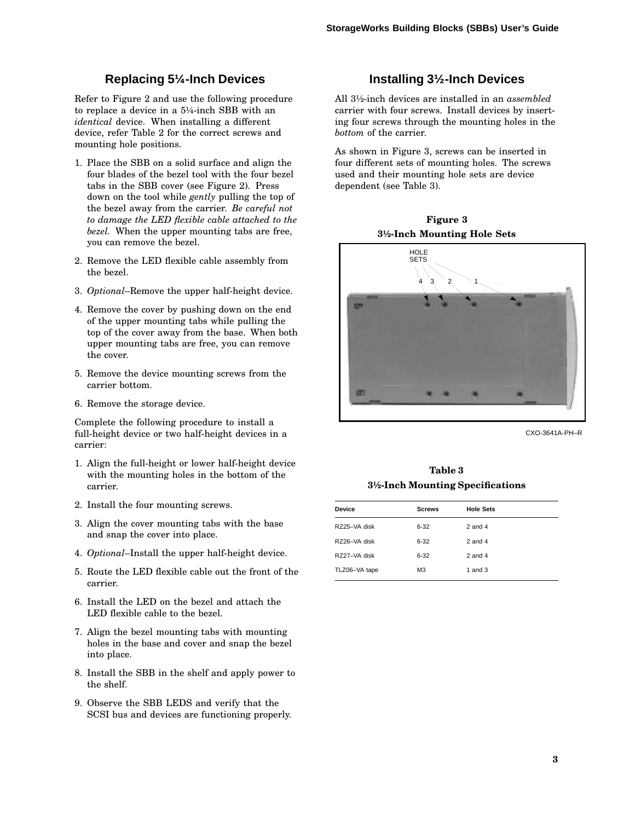# **Replacing 5¼-Inch Devices**

Refer to Figure 2 and use the following procedure to replace a device in a 5¼-inch SBB with an *identical* device. When installing a different device, refer Table 2 for the correct screws and mounting hole positions.

- 1. Place the SBB on a solid surface and align the four blades of the bezel tool with the four bezel tabs in the SBB cover (see Figure 2). Press down on the tool while *gently* pulling the top of the bezel away from the carrier. *Be careful not to damage the LED flexible cable attached to the bezel.* When the upper mounting tabs are free, you can remove the bezel.
- 2. Remove the LED flexible cable assembly from the bezel.
- 3. *Optional*–Remove the upper half-height device.
- 4. Remove the cover by pushing down on the end of the upper mounting tabs while pulling the top of the cover away from the base. When both upper mounting tabs are free, you can remove the cover.
- 5. Remove the device mounting screws from the carrier bottom.
- 6. Remove the storage device.

Complete the following procedure to install a full-height device or two half-height devices in a carrier:

- 1. Align the full-height or lower half-height device with the mounting holes in the bottom of the carrier.
- 2. Install the four mounting screws.
- 3. Align the cover mounting tabs with the base and snap the cover into place.
- 4. *Optional*–Install the upper half-height device.
- 5. Route the LED flexible cable out the front of the carrier.
- 6. Install the LED on the bezel and attach the LED flexible cable to the bezel.
- 7. Align the bezel mounting tabs with mounting holes in the base and cover and snap the bezel into place.
- 8. Install the SBB in the shelf and apply power to the shelf.
- 9. Observe the SBB LEDS and verify that the SCSI bus and devices are functioning properly.

# **Installing 3½-Inch Devices**

All 3½-inch devices are installed in an *assembled* carrier with four screws. Install devices by inserting four screws through the mounting holes in the *bottom* of the carrier.

As shown in Figure 3, screws can be inserted in four different sets of mounting holes. The screws used and their mounting hole sets are device dependent (see Table 3).

**Figure 3 3½-Inch Mounting Hole Sets**



CXO-3641A-PH–R

**Table 3 3½-Inch Mounting Specifications**

| <b>Device</b> | <b>Screws</b>  | <b>Hole Sets</b> |
|---------------|----------------|------------------|
| RZ25-VA disk  | $6 - 32$       | $2$ and $4$      |
| RZ26-VA disk  | $6 - 32$       | $2$ and $4$      |
| RZ27-VA disk  | $6 - 32$       | $2$ and $4$      |
| TLZ06-VA tape | M <sub>3</sub> | 1 and $3$        |
|               |                |                  |